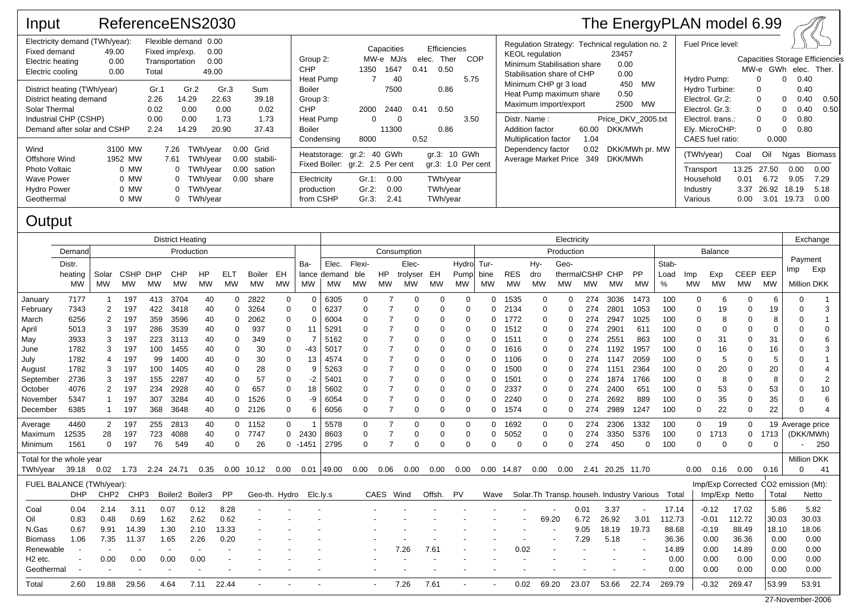| Input                                                                                                                           | ReferenceENS2030                                                                                                             |                                      |                                                                      |                                        |                      |                                          |                                                                                                                       |                                    |                                   |      |                                                     |                    |                                                                                                                                        |                     | The EnergyPLAN model 6.99                                  |                                                                                             |                                       |                                                                                        |                                                                                                     |                                              |
|---------------------------------------------------------------------------------------------------------------------------------|------------------------------------------------------------------------------------------------------------------------------|--------------------------------------|----------------------------------------------------------------------|----------------------------------------|----------------------|------------------------------------------|-----------------------------------------------------------------------------------------------------------------------|------------------------------------|-----------------------------------|------|-----------------------------------------------------|--------------------|----------------------------------------------------------------------------------------------------------------------------------------|---------------------|------------------------------------------------------------|---------------------------------------------------------------------------------------------|---------------------------------------|----------------------------------------------------------------------------------------|-----------------------------------------------------------------------------------------------------|----------------------------------------------|
| Fixed demand<br>Electric heating<br>Electric cooling                                                                            | Electricity demand (TWh/year):<br>Flexible demand 0.00<br>49.00<br>Fixed imp/exp.<br>0.00<br>Transportation<br>0.00<br>Total |                                      |                                                                      | 0.00<br>0.00<br>49.00                  |                      |                                          | Group 2:<br><b>CHP</b>                                                                                                | 1350                               | Capacities<br>MW-e MJ/s<br>1647   | 0.41 | Efficiencies<br>Ther<br><b>COP</b><br>elec.<br>0.50 |                    | Regulation Strategy: Technical regulation no. 2<br><b>KEOL</b> regulation<br>Minimum Stabilisation share<br>Stabilisation share of CHP |                     | 23457<br>0.00<br>0.00                                      | Fuel Price level:<br>Hydro Pump:                                                            |                                       | <b>Capacities Storage Efficiencies</b><br>MW-e GWh elec. Ther.<br>$\Omega$<br>$\Omega$ |                                                                                                     |                                              |
| District heating (TWh/year)<br>District heating demand<br>Solar Thermal<br>Industrial CHP (CSHP)<br>Demand after solar and CSHP |                                                                                                                              | Gr.1<br>2.26<br>0.02<br>0.00<br>2.24 | Gr.2<br>14.29<br>0.00<br>0.00<br>14.29                               | Gr.3<br>22.63<br>0.00<br>1.73<br>20.90 |                      | Sum<br>39.18<br>0.02<br>1.73<br>37.43    | Heat Pump<br>Boiler<br>Group 3:<br><b>CHP</b><br>Heat Pump<br><b>Boiler</b>                                           | 2000<br>$\Omega$                   | -40<br>7500<br>2440<br>0<br>11300 | 0.41 | 0.86<br>0.50<br>0.86                                | 5.75<br>3.50       | Minimum CHP gr 3 load<br>Heat Pump maximum share<br>Maximum import/export<br>Distr. Name:<br>Addition factor                           | 60.00               | 450 MW<br>0.50<br>2500 MW<br>Price DKV 2005.txt<br>DKK/MWh | Hydro Turbine:<br>Electrol. Gr.2:<br>Electrol. Gr.3:<br>Electrol. trans.:<br>Ely. MicroCHP: |                                       | $\Omega$                                                                               | 0.40<br>0.40<br>0.40<br>$\overline{0}$<br>0.40<br>$\mathbf{0}$<br>0.80<br>$\mathbf{0}$<br>0.80<br>0 | 0.50<br>0.50                                 |
| Wind<br>Offshore Wind<br>Photo Voltaic<br>Wave Power<br><b>Hydro Power</b><br>Geothermal                                        | 3100 MW<br>1952 MW<br>0 MW<br>0 MW<br>0 MW<br>0 MW                                                                           |                                      | 7.26<br>7.61<br>0 TWh/year<br>0 TWh/year<br>0 TWh/year<br>0 TWh/year | TWh/vear<br>TWh/year                   | 0.00<br>0.00<br>0.00 | Grid<br>stabili-<br>sation<br>0.00 share | Condensing<br>Heatstorage: gr.2: 40 GWh<br>Fixed Boiler: gr.2: 2.5 Per cent<br>Electricity<br>production<br>from CSHP | 8000<br>Gr.1:<br>$Gr.2$ :<br>Gr.3: | 0.00<br>0.00<br>2.41              | 0.52 | gr.3: 10 GWh<br>TWh/year<br>TWh/year<br>TWh/year    | gr.3: 1.0 Per cent | <b>Multiplication factor</b><br>Dependency factor<br>Average Market Price                                                              | 1.04<br>0.02<br>349 | DKK/MWh pr. MW<br>DKK/MWh                                  | CAES fuel ratio:<br>(TWh/year)<br>Transport<br>Household<br>Industry<br>Various             | Coal<br>13.25<br>0.01<br>3.37<br>0.00 | 0.000<br>Oil<br>27.50<br>6.72<br>26.92<br>3.01                                         | 0.00<br>9.05<br>18.19<br>19.73                                                                      | Ngas Biomass<br>0.00<br>7.29<br>5.18<br>0.00 |

## **Output**

|                          |                          | <b>District Heating</b> |             |     |                 |           |           |              |               |            |              | Electricity |                |          |            |             |           |            |             |            |                 |                  |                                                  | Exchange |              |               |              |                                      |                    |          |
|--------------------------|--------------------------|-------------------------|-------------|-----|-----------------|-----------|-----------|--------------|---------------|------------|--------------|-------------|----------------|----------|------------|-------------|-----------|------------|-------------|------------|-----------------|------------------|--------------------------------------------------|----------|--------------|---------------|--------------|--------------------------------------|--------------------|----------|
|                          | Demand                   | Production              |             |     |                 |           |           |              |               |            | Consumption  |             |                |          |            |             |           |            |             | Production |                 |                  |                                                  | Balance  |              |               |              |                                      |                    |          |
|                          | Distr.                   |                         |             |     |                 |           |           |              | Ba-           | Elec.      | Flexi-       |             | Elec-          |          | Hydro Tur- |             |           | Hy-        | Geo-        |            |                 |                  | Stab-                                            |          |              |               |              | Payment                              |                    |          |
|                          | heating                  | Solar                   | <b>CSHP</b> | DHP | <b>CHP</b>      | HP        | ELT       | Boiler       | EH.           |            | lance demand | ble         | <b>HP</b>      | trolyser | EH         | Pump        | bine      | <b>RES</b> | dro         |            | thermalCSHP CHP |                  | <b>PP</b>                                        | Load     | Imp          | Exp           | CEEP EEP     |                                      | <b>Imp</b>         | Exp      |
|                          | <b>MW</b>                | <b>MW</b>               | МW          | МW  | MW              | <b>MW</b> | <b>MW</b> | <b>MW</b>    | <b>MW</b>     | <b>MW</b>  | <b>MW</b>    | <b>MW</b>   | <b>MW</b>      | MW       | MW         | <b>MW</b>   | <b>MW</b> | <b>MW</b>  | <b>MW</b>   | МW         | MW              | МW               | MW                                               | %        | <b>MW</b>    | MW            | <b>MW</b>    | <b>MW</b>                            | <b>Million DKK</b> |          |
| January                  | 7177                     |                         | 197         | 413 | 3704            | 40        | 0         | 2822         | $\Omega$      | $\Omega$   | 6305         | 0           |                | 0        | $\Omega$   | $\Omega$    | 0         | 1535       | 0           | 0          | 274             | 3036             | 1473                                             | 100      | $\Omega$     | 6             | 0            | 6                                    |                    |          |
| February                 | 7343                     | 2                       | 197         | 422 | 3418            | 40        | 0         | 3264         | $\Omega$      | $\Omega$   | 6237         |             |                | 0        | 0          | O           | ი         | 2134       | 0           | 0          | 274             | 2801             | 1053                                             | 100      | 0            | 19            | n            | 19                                   | $\Omega$           | 3        |
| March                    | 6256                     | 2                       | 197         | 359 | 3596            | 40        | 0         | 2062         | $\Omega$      | $\Omega$   | 6004         |             |                | 0        | 0          | O           | 0         | 1772       | 0           | 0          | 274             | 2947             | 1025                                             | 100      | 0            | 8             |              | 8                                    | $\Omega$           |          |
| April                    | 5013                     | 3                       | 197         | 286 | 3539            | 40        | 0         | 937          | $\Omega$      | 11         | 5291         |             |                | 0        | $\Omega$   | $\Omega$    | 0         | 1512       | 0           | 0          | 274             | 2901             | 611                                              | 100      | $\Omega$     | $\Omega$      |              | $\Omega$                             |                    | $\Omega$ |
| May                      | 3933                     | 3                       | 197         | 223 | 3113            | 40        | 0         | 349          | $\Omega$      | 7          | 5162         |             |                | 0        | $\Omega$   | $\Omega$    | O         | 1511       | $\mathbf 0$ | 0          | 274             | 2551             | 863                                              | 100      | $\Omega$     | 31            |              | 31                                   |                    | 6        |
| June                     | 1782                     | 3                       | 197         | 100 | 1455            | 40        | 0         | 30           | 0             | $-43$      | 5017         |             |                | 0        | 0          | $\Omega$    | ი         | 1616       | 0           | 0          | 274             | 1192             | 1957                                             | 100      | 0            | 16            |              | 16                                   |                    | 3        |
| July                     | 1782                     | 4                       | 197         | 99  | 1400            | 40        | 0         | 30           | 0             | 13         | 4574         |             | 7              | 0        | 0          | $\Omega$    | 0         | 1106       | 0           | 0          | 274             | 1147             | 2059                                             | 100      | 0            | 5             |              | 5                                    |                    |          |
| August                   | 1782                     |                         | 197         | 100 | 1405            | 40        | 0         | 28           | $\Omega$      | 9          | 5263         |             |                | 0        | 0          | $\Omega$    | O         | 1500       | 0           | $\Omega$   | 274             | 1151             | 2364                                             | 100      | $\Omega$     | 20            |              | 20                                   |                    |          |
| September                | 2736                     | 3                       | 197         | 155 | 2287            | 40        | $\Omega$  | 57           | $\Omega$      | $-2$       | 5401         |             | 7              | 0        | 0          | $\Omega$    | O         | 1501       | 0           | 0          | 274             | 1874             | 1766                                             | 100      | $\Omega$     | 8             | $\Omega$     | 8                                    |                    | 2        |
| October                  | 4076                     | 2                       | 197         | 234 | 2928            | 40        | 0         | 657          | 0             | 18         | 5602         |             |                | 0        | 0          | $\Omega$    | O         | 2337       | 0           |            | 274             | 2400             | 651                                              | 100      | 0            | 53            |              | 53                                   |                    | 10       |
| November                 | 5347                     | 1                       | 197         | 307 | 3284            | 40        | 0         | 1526         | $\Omega$      | -9         | 6054         |             |                | 0        | 0          | $\Omega$    | 0         | 2240       | 0           |            | 274             | 2692             | 889                                              | 100      | $\Omega$     | 35            |              | 35                                   |                    | 6        |
| December                 | 6385                     | 1                       | 197         | 368 | 3648            | 40        | 0         | 2126         | 0             | 6          | 6056         | $\Omega$    | $\overline{7}$ | 0        | $\Omega$   | 0           | 0         | 1574       | 0           | 0          | 274             | 2989             | 1247                                             | 100      | 0            | 22            | $\Omega$     | 22                                   |                    | 4        |
| Average                  | 4460                     | $\overline{2}$          | 197         | 255 | 2813            | 40        |           | 0 1152       | 0             |            | 5578         | 0           | $\overline{7}$ | 0        | 0          | $\mathbf 0$ | 0         | 1692       | 0           | 0          | 274             | 2306             | 1332                                             | 100      | 0            | 19            | $\Omega$     |                                      | 19 Average price   |          |
| Maximum                  | 12535                    | 28                      | 197         | 723 | 4088            | 40        | 0         | 7747         |               | 0 2430     | 8603         | 0           | 7              | 0        | $\Omega$   | $\Omega$    | 0         | 5052       | 0           | 0          | 274             | 3350             | 5376                                             | 100      | $\mathbf{0}$ | 1713          | $\mathbf{0}$ | 1713                                 | (DKK/MWh)          |          |
| Minimum                  | 1561                     | $\Omega$                | 197         | 76  | 549             | 40        | 0         | 26           |               | $0 - 1451$ | 2795         | $\Omega$    | 7              | $\Omega$ | $\Omega$   | $\Omega$    | U         | $\Omega$   | $\mathbf 0$ | $\Omega$   | 274             | 450              | $\Omega$                                         | 100      | $\Omega$     | $\Omega$      | $\Omega$     | $\Omega$                             |                    | 250      |
| Total for the whole year |                          |                         |             |     |                 |           |           |              |               |            |              |             |                |          |            |             |           |            |             |            |                 |                  |                                                  |          |              |               |              |                                      | <b>Million DKK</b> |          |
| TWh/year 39.18 0.02 1.73 |                          |                         |             |     | 2.24 24.71      | 0.35      |           | $0.00$ 10.12 | 0.00          |            | $0.01$ 49.00 | 0.00        | 0.06           | 0.00     | 0.00       | 0.00        |           | 0.00 14.87 | 0.00        | 0.00       |                 | 2.41 20.25 11.70 |                                                  |          | 0.00         | 0.16          | 0.00         | 0.16                                 | $\Omega$           | -41      |
|                          | FUEL BALANCE (TWh/year): |                         |             |     |                 |           |           |              |               |            |              |             |                |          |            |             |           |            |             |            |                 |                  |                                                  |          |              |               |              | Imp/Exp Corrected CO2 emission (Mt): |                    |          |
|                          | <b>DHP</b>               | CHP2                    | CHP3        |     | Boiler2 Boiler3 |           | PP        |              | Geo-th. Hydro |            | Elc.ly.s     |             | CAES           | Wind     | Offsh.     | <b>PV</b>   | Wave      |            |             |            |                 |                  | Solar. Th Transp. househ. Industry Various Total |          |              | Imp/Exp Netto |              | Total                                |                    | Netto    |
| Coal                     | 0.04                     | 2.14                    | 3.11        |     | 0.07            | 0.12      | 8.28      |              |               |            |              |             |                |          |            |             |           |            |             |            | 0.01            | 3.37             |                                                  | 17.14    |              | $-0.12$       | 17.02        | 5.86                                 |                    | 5.82     |
| Oil                      | 0.83                     | 0.48                    | 0.69        |     | 1.62            | 2.62      | 0.62      |              |               |            |              |             |                |          |            |             |           |            | 69.20       |            | 6.72            | 26.92            | 3.01                                             | 112.73   |              | $-0.01$       | 112.72       | 30.03                                |                    | 30.03    |
| N.Gas                    | 0.67                     | 9.91                    | 14.39       |     | 1.30            | 2.10      | 13.33     |              |               |            |              |             |                |          |            |             |           |            |             |            | 9.05            | 18.19            | 19.73                                            | 88.68    |              | $-0.19$       | 88.49        | 18.10                                |                    | 18.06    |
| <b>Biomass</b>           | 1.06                     | 7.35                    | 11.37       |     | 1.65            | 2.26      | 0.20      |              |               |            |              |             |                |          |            |             |           |            |             |            | 7.29            | 5.18             | $\overline{\phantom{a}}$                         | 36.36    |              | 0.00          | 36.36        | 0.00                                 |                    | 0.00     |
| Renewable                | $\overline{\phantom{a}}$ |                         |             |     |                 |           |           |              |               |            |              |             |                | 7.26     | 7.61       |             |           | 0.02       |             |            |                 |                  |                                                  | 14.89    |              | 0.00          | 14.89        | 0.00                                 |                    | 0.00     |
| H <sub>2</sub> etc.      |                          | 0.00                    | 0.00        |     | 0.00            | 0.00      |           |              |               |            |              |             |                |          |            |             |           |            |             |            |                 |                  |                                                  | 0.00     |              | 0.00          | 0.00         | 0.00                                 |                    | 0.00     |
| Geothermal               |                          |                         |             |     |                 |           |           |              |               |            |              |             |                |          |            |             |           |            |             |            |                 |                  |                                                  | 0.00     |              | 0.00          | 0.00         | 0.00                                 |                    | 0.00     |
| Total                    | 2.60                     | 19.88                   | 29.56       |     | 4.64            | 7.11      | 22.44     |              |               |            |              |             |                | 7.26     | 7.61       |             |           | 0.02       |             | 69.20      | 23.07           | 53.66            | 22.74                                            | 269.79   |              | $-0.32$       | 269.47       | 53.99                                | 53.91              |          |
|                          | 27-November-2006         |                         |             |     |                 |           |           |              |               |            |              |             |                |          |            |             |           |            |             |            |                 |                  |                                                  |          |              |               |              |                                      |                    |          |